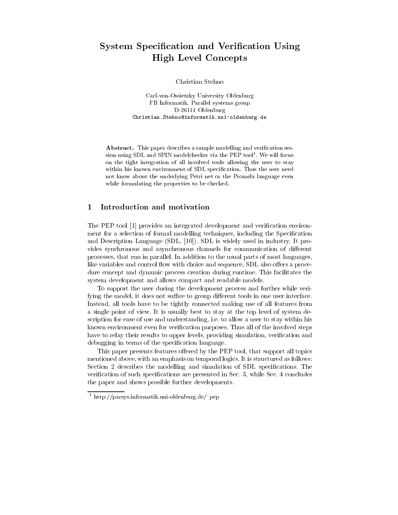# system specification and Verification Using Section Using Section Using Section Using Section Using Section Us High Level Concepts

Christian Stehno

Carl-von-Ossietzky University Oldenburg FB Informatik, Parallel systems group D-26111 Oldenburg Christian.Stehno@informatik.uni-oldenburg.de

Abstract. This paper describes a sample modelling and verification session using SDL and SPIN modelchecker via the PEP tool". We will focus on the tight integration of all involved tools allowing the user to stay within his known environment of SDL specification. Thus the user need not know about the underlying Petri net or the Promela language even while formulating the properties to be checked.

### 1Introduction and motivation

The PEP tool [1] provides an integrated development and verification environment for a selection of formal modelling techniques, including the Specication and Description Language (SDL, [10]). SDL is widely used in industry. It provides synchronous and asynchronous channels for communication of different processes, that run in parallel. In addition to the usual parts of most languages, like variables and control flow with choice and sequence, SDL also offers a procedure concept and dynamic process creation during runtime. This facilitates the system development and allows compact and readable models.

To support the user during the development process and further while verifying the model, it does not suffice to group different tools in one user interface. Instead, all tools have to be tightly connected making use of all features from a single point of view. It is usually best to stay at the top level of system description for ease of use and understanding, i.e. to allow a user to stay within his known environment even for verication purposes. Thus all of the involved steps have to relay their results to upper levels, providing simulation, verification and debugging in terms of the specification language.

This paper presents features offered by the PEP tool, that support all topics mentioned above, with an emphasis on temporal logics. It is structured as follows: Section 2 describes the modelling and simulation of SDL specifications. The verification of such specifications are presented in Sec. 3, while Sec. 4 concludes the paper and shows possible further developments.

<sup>1</sup> http://parsys.informatik.uni-oldenburg.de/~pep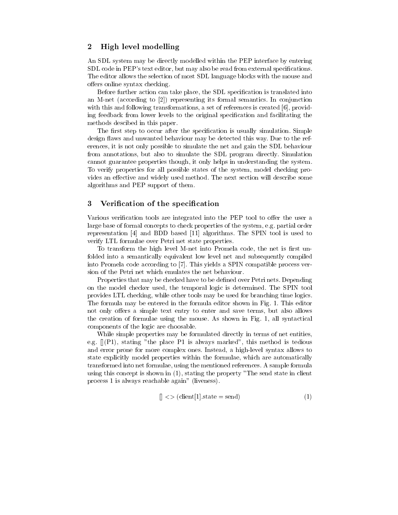#### 2High level modelling

An SDL system may be directly modelled within the PEP interface by entering SDL code in PEP's text editor, but may also be read from external specifications. The editor allows the selection of most SDL language blocks with the mouse and offers online syntax checking.

Before further action can take place, the SDL specification is translated into an M-net (according to [2]) representing its formal semantics. In conjunction with this and following transformations, a set of references is created [6], providing feedback from lower levels to the original specification and facilitating the methods descibed in this paper.

The first step to occur after the specification is usually simulation. Simple design flaws and unwanted behaviour may be detected this way. Due to the references, it is not only possible to simulate the net and gain the SDL behaviour from annotations, but also to simulate the SDL program directly. Simulation cannot guarantee properties though, it only helps in understanding the system. To verify properties for all possible states of the system, model checking provides an effective and widely used method. The next section will describe some algorithms and PEP support of them.

#### 3Verification of the specification

Various verification tools are integrated into the PEP tool to offer the user a large base of formal concepts to check properties of the system, e.g. partial order representation  $[4]$  and BDD based  $[11]$  algorithms. The SPIN tool is used to verify LTL formulae over Petri net state properties.

To transform the high level M-net into Promela code, the net is first unfolded into a semantically equivalent low level net and subsequently compiled into Promela code according to [7]. This yields a SPIN compatible process version of the Petri net which emulates the net behaviour.

Properties that may be checked have to be defined over Petri nets. Depending on the model checker used, the temporal logic is determined. The SPIN tool provides LTL checking, while other tools may be used for branching time logics. The formula may be entered in the formula editor shown in Fig. 1. This editor not only offers a simple text entry to enter and save terms, but also allows the creation of formulae using the mouse. As shown in Fig. 1, all syntactical components of the logic are choosable.

While simple properties may be formulated directly in terms of net entities. e.g.  $\left[\right]$ (P1), stating "the place P1 is always marked", this method is tedious and error prone for more complex ones. Instead, a high-level syntax allows to state explicitly model properties within the formulae, which are automatically transformed into net formulae, using the mentioned references. A sample formula using this concept is shown in (1), stating the property "The send state in client process 1 is always reachable again" (liveness).

$$
\| \langle \rangle \text{ (client[1].state = send)} \tag{1}
$$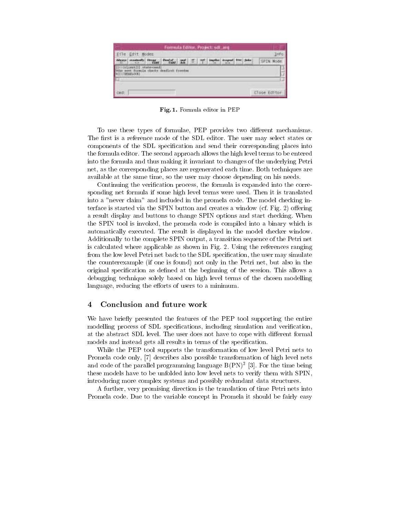| Formula Editor, Project: sdf.,arg<br>TV 2012.00<br>THE RESIDENCE OF A<br>File Edit Modes                                                                                        |              |
|---------------------------------------------------------------------------------------------------------------------------------------------------------------------------------|--------------|
| $\frac{\partial \text{Im}\{x_{i}^{t}\}}{\partial \text{Im}\{x_{i}^{t}\}}=\frac{\partial \text{Im}\{x_{i}^{t}\}}{\partial \text{Im}\{x_{i}^{t}\}}$<br><b>Holly Judie</b><br>11 平 |              |
| adisek freedom                                                                                                                                                                  |              |
|                                                                                                                                                                                 |              |
|                                                                                                                                                                                 | ETose Editor |

Fig. 1. Formula editor in PEP

To use these types of formulae, PEP provides two different mechanisms. The first is a reference mode of the SDL editor. The user may select states or components of the SDL specification and send their corresponding places into the formula editor. The second approach allows the high level terms to be entered into the formula and thus making it invariant to changes of the underlying Petri net, as the corresponding places are regenerated each time. Both techniques are available at the same time, so the user may choose depending on his needs.

Continuing the verification process, the formula is expanded into the corresponding net formula if some high level terms were used. Then it is translated into a "never claim" and included in the promela code. The model checking interface is started via the SPIN button and creates a window (cf. Fig. 2) offering a result display and buttons to change SPIN options and start checking. When the SPIN tool is invoked, the promela code is compiled into a binary which is automatically executed. The result is displayed in the model checker window. Additionally to the complete SPIN output, a transition sequence of the Petri net is calculated where applicable as shown in Fig. 2. Using the references ranging from the low level Petri net back to the SDL specification, the user may simulate the counterexample (if one is found) not only in the Petri net, but also in the original specification as defined at the beginning of the session. This allows a debugging technique solely based on high level terms of the chosen modelling language, reducing the efforts of users to a minimum.

#### 4Conclusion and future work

We have briefly presented the features of the PEP tool supporting the entire modelling process of SDL specifications, including simulation and verification. at the abstract SDL level. The user does not have to cope with different formal models and instead gets all results in terms of the specification.

While the PEP tool supports the transformation of low level Petri nets to Promela code only, [7] describes also possible transformation of high level nets and code of the parallel programming language B(PN)<sup>2</sup> [3]. For the time being these models have to be unfolded into low level nets to verify them with SPIN, introducing more complex systems and possibly redundant data structures.

A further, very promising direction is the translation of time Petri nets into Promela code. Due to the variable concept in Promela it should be fairly easy